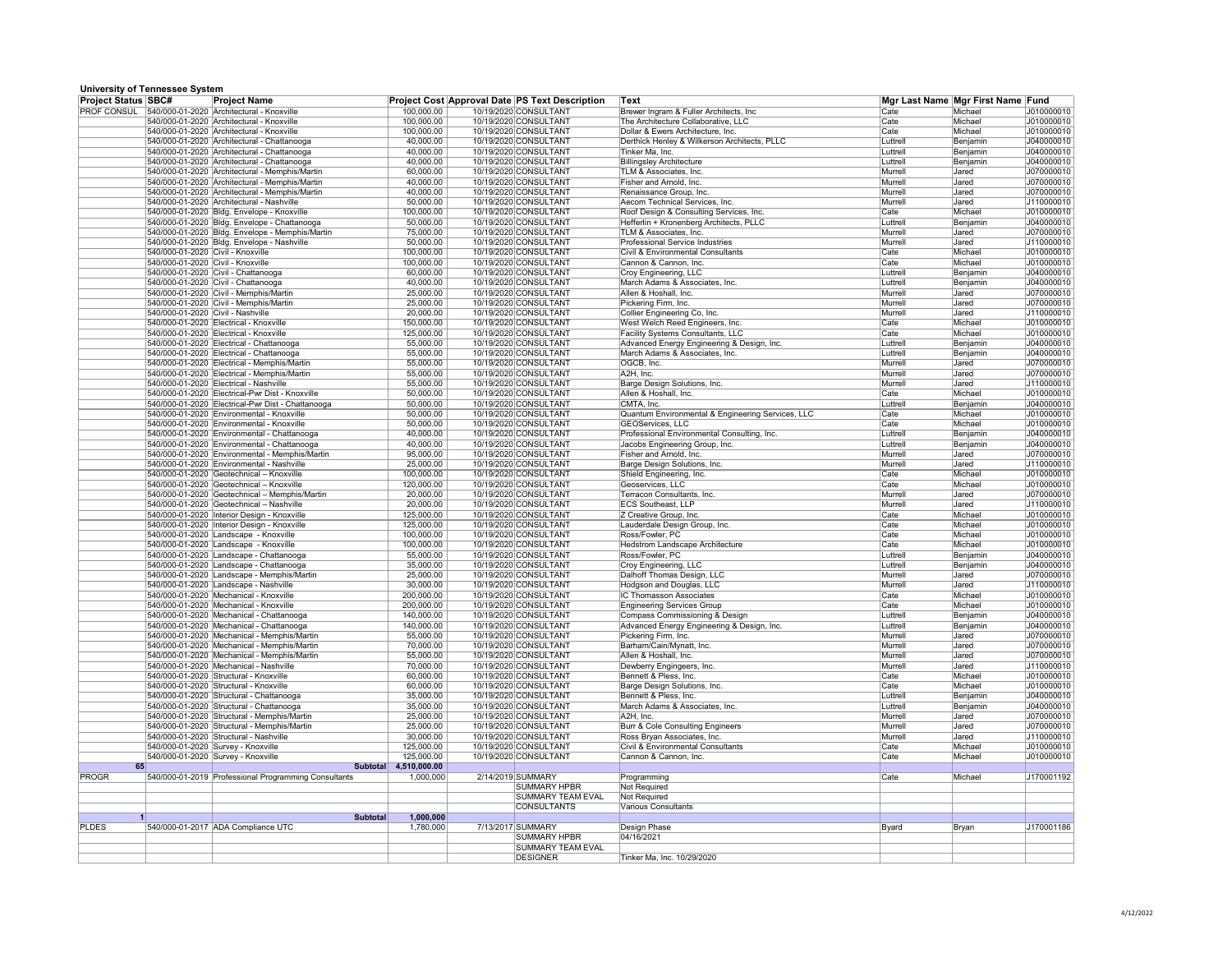## **University of Tennessee System**

| <b>Project Status SBC#</b> | $\sum_{i=1}^{n}$                  | Project Name                                                                                  |                            | <b>Project Cost Approval Date PS Text Description</b> | ∣Text                                                                 |                     | Mgr Last Name Mgr First Name Fund |                          |
|----------------------------|-----------------------------------|-----------------------------------------------------------------------------------------------|----------------------------|-------------------------------------------------------|-----------------------------------------------------------------------|---------------------|-----------------------------------|--------------------------|
|                            |                                   | PROF CONSUL 540/000-01-2020 Architectural - Knoxville                                         | 100,000.00                 | 10/19/2020 CONSULTANT                                 | Brewer Ingram & Fuller Architects, Inc                                | Cate                | Michael                           | J010000010               |
|                            |                                   | 540/000-01-2020 Architectural - Knoxville                                                     | 100,000.00                 | 10/19/2020 CONSULTANT                                 | The Architecture Collaborative, LLC                                   | Cate                | Michael                           | J010000010               |
|                            |                                   | 540/000-01-2020 Architectural - Knoxville                                                     | 100,000.00                 | 10/19/2020 CONSULTANT                                 | Dollar & Ewers Architecture, Inc.                                     | Cate                | Michael                           | J010000010               |
|                            |                                   | 540/000-01-2020 Architectural - Chattanooga                                                   | 40,000.00                  | 10/19/2020 CONSULTANT                                 | Derthick Henley & Wilkerson Architects, PLLC                          | Luttrell            | Benjamin                          | J040000010               |
|                            |                                   | 540/000-01-2020 Architectural - Chattanooga                                                   | 40,000.00                  | 10/19/2020 CONSULTANT                                 | Tinker Ma, Inc.                                                       | Luttrell            | Benjamin                          | J040000010               |
|                            |                                   | 540/000-01-2020 Architectural - Chattanooga<br>540/000-01-2020 Architectural - Memphis/Martin | 40,000.00<br>60,000.00     | 10/19/2020 CONSULTANT<br>10/19/2020 CONSULTANT        | <b>Billingsley Architecture</b><br>TLM & Associates, Inc.             | Luttrell<br>Murrell | Benjamin<br>Jared                 | J040000010<br>J070000010 |
|                            |                                   | 540/000-01-2020 Architectural - Memphis/Martin                                                | 40,000.00                  | 10/19/2020 CONSULTANT                                 | Fisher and Arnold, Inc.                                               | Murrell             | Jared                             | J070000010               |
|                            |                                   | 540/000-01-2020 Architectural - Memphis/Martin                                                | 40,000.00                  | 10/19/2020 CONSULTANT                                 | Renaissance Group, Inc.                                               | Murrell             | Jared                             | J070000010               |
|                            |                                   | 540/000-01-2020 Architectural - Nashville                                                     | 50,000.00                  | 10/19/2020 CONSULTANT                                 | Aecom Technical Services, Inc.                                        | Murrell             | Jared                             | J110000010               |
|                            |                                   | 540/000-01-2020 Bldg. Envelope - Knoxville                                                    | 100,000.00                 | 10/19/2020 CONSULTANT                                 | Roof Design & Consulting Services, Inc.                               | Cate                | Michael                           | J010000010               |
|                            |                                   | 540/000-01-2020 Bldg. Envelope - Chattanooga                                                  | 50,000.00                  | 10/19/2020 CONSULTANT                                 | Hefferlin + Kronenberg Architects, PLLC                               | Luttrell            | Benjamin                          | J040000010               |
|                            |                                   | 540/000-01-2020 Bldg. Envelope - Memphis/Martin                                               | 75,000.00                  | 10/19/2020 CONSULTANT                                 | TLM & Associates, Inc.                                                | Murrell             | Jared                             | J070000010               |
|                            |                                   | 540/000-01-2020 Bldg. Envelope - Nashville                                                    | 50,000.00                  | 10/19/2020 CONSULTANT                                 | <b>Professional Service Industries</b>                                | Murrell             | Jared                             | J110000010               |
|                            | 540/000-01-2020 Civil - Knoxville |                                                                                               | 100,000.00                 | 10/19/2020 CONSULTANT                                 | <b>Civil &amp; Environmental Consultants</b>                          | Cate                | Michael                           | J010000010               |
|                            | 540/000-01-2020 Civil - Knoxville |                                                                                               | 100,000.00                 | 10/19/2020 CONSULTANT                                 | Cannon & Cannon, Inc.                                                 | Cate                | Michael                           | J010000010               |
|                            |                                   | 540/000-01-2020 Civil - Chattanooga                                                           | 60,000.00                  | 10/19/2020 CONSULTANT                                 | <b>Croy Engineering, LLC</b>                                          | Luttrell            | Benjamin                          | J040000010               |
|                            |                                   | 540/000-01-2020 Civil - Chattanooga                                                           | 40,000.00                  | 10/19/2020 CONSULTANT<br>10/19/2020 CONSULTANT        | March Adams & Associates, Inc.<br>Allen & Hoshall, Inc.               | Luttrell            | Benjamin                          | J040000010               |
|                            |                                   | 540/000-01-2020 Civil - Memphis/Martin<br>540/000-01-2020 Civil - Memphis/Martin              | 25,000.00<br>25,000.00     | 10/19/2020 CONSULTANT                                 | Pickering Firm, Inc.                                                  | Murrell<br>Murrell  | Jared<br>Jared                    | J070000010<br>J070000010 |
|                            | 540/000-01-2020 Civil - Nashville |                                                                                               | 20,000.00                  | 10/19/2020 CONSULTANT                                 | Collier Engineering Co, Inc.                                          | Murrell             | <b>Jared</b>                      | J110000010               |
|                            |                                   | 540/000-01-2020 Electrical - Knoxville                                                        | 150,000.00                 | 10/19/2020 CONSULTANT                                 | West Welch Reed Engineers, Inc.                                       | <b>Cate</b>         | Michael                           | J010000010               |
|                            |                                   | 540/000-01-2020 Electrical - Knoxville                                                        | 125,000.00                 | 10/19/2020 CONSULTANT                                 | <b>Facility Systems Consultants, LLC</b>                              | Cate                | Michael                           | J010000010               |
|                            |                                   | 540/000-01-2020 Electrical - Chattanooga                                                      | 55,000.00                  | 10/19/2020 CONSULTANT                                 | Advanced Energy Engineering & Design, Inc.                            | Luttrell            | Benjamin                          | J040000010               |
|                            |                                   | 540/000-01-2020 Electrical - Chattanooga                                                      | 55,000.00                  | 10/19/2020 CONSULTANT                                 | March Adams & Associates, Inc.                                        | Luttrell            | Benjamin                          | J040000010               |
|                            |                                   | 540/000-01-2020 Electrical - Memphis/Martin                                                   | 55,000.00                  | 10/19/2020 CONSULTANT                                 | OGCB, Inc.                                                            | Murrell             | Jared                             | J070000010               |
|                            |                                   | 540/000-01-2020 Electrical - Memphis/Martin                                                   | 55,000.00                  | 10/19/2020 CONSULTANT                                 | $ A2H $ , Inc.                                                        | Murrell             | Jared                             | J070000010               |
|                            |                                   | 540/000-01-2020 Electrical - Nashville                                                        | 55,000.00                  | 10/19/2020 CONSULTANT                                 | Barge Design Solutions, Inc.                                          | Murrell             | Jared                             | J110000010               |
|                            |                                   | 540/000-01-2020 Electrical-Pwr Dist - Knoxville                                               | 50,000.00                  | 10/19/2020 CONSULTANT                                 | Allen & Hoshall, Inc.                                                 | Cate                | Michael                           | J010000010               |
|                            |                                   | 540/000-01-2020 Electrical-Pwr Dist - Chattanooga                                             | 50,000.00                  | 10/19/2020 CONSULTANT                                 | CMTA, Inc.                                                            | Luttrell            | Benjamin                          | J040000010               |
|                            |                                   | 540/000-01-2020 Environmental - Knoxville<br>540/000-01-2020 Environmental - Knoxville        | 50,000.00<br>50,000.00     | 10/19/2020 CONSULTANT<br>10/19/2020 CONSULTANT        | Quantum Environmental & Engineering Services, LLC<br>GEOServices, LLC | Cate<br><b>Cate</b> | Michael<br>Michael                | J010000010<br>J010000010 |
|                            |                                   | 540/000-01-2020 Environmental - Chattanooga                                                   | 40,000.00                  | 10/19/2020 CONSULTANT                                 | Professional Environmental Consulting, Inc.                           | Luttrell            | Benjamin                          | J040000010               |
|                            |                                   | 540/000-01-2020 Environmental - Chattanooga                                                   | 40,000.00                  | 10/19/2020 CONSULTANT                                 | Jacobs Engineering Group, Inc.                                        | Luttrell            | Benjamin                          | J040000010               |
|                            |                                   | 540/000-01-2020 Environmental - Memphis/Martin                                                | 95,000.00                  | 10/19/2020 CONSULTANT                                 | Fisher and Arnold, Inc.                                               | Murrell             | Jared                             | J070000010               |
|                            |                                   | 540/000-01-2020 Environmental - Nashville                                                     | 25,000.00                  | 10/19/2020 CONSULTANT                                 | Barge Design Solutions, Inc.                                          | Murrell             | Jared                             | J110000010               |
|                            |                                   | $540/000-01-2020$ Geotechnical - Knoxville                                                    | 100,000.00                 | 10/19/2020 CONSULTANT                                 | Shield Engineering, Inc.                                              | ∣Cate               | Michael                           | J010000010               |
|                            |                                   | 540/000-01-2020 Geotechnical - Knoxville                                                      | 120,000.00                 | 10/19/2020 CONSULTANT                                 | Geoservices, LLC                                                      | Cate                | Michael                           | J010000010               |
|                            |                                   | 540/000-01-2020 Geotechnical - Memphis/Martin                                                 | 20,000.00                  | 10/19/2020 CONSULTANT                                 | Terracon Consultants, Inc.                                            | Murrell             | Jared                             | J070000010               |
|                            |                                   | 540/000-01-2020 Geotechnical - Nashville                                                      | 20,000.00                  | 10/19/2020 CONSULTANT                                 | <b>ECS Southeast, LLP</b>                                             | Murrell             | Jared                             | J110000010               |
|                            |                                   | 540/000-01-2020   Interior Design - Knoxville                                                 | 125,000.00                 | 10/19/2020 CONSULTANT                                 | Z Creative Group, Inc.                                                | Cate                | Michael                           | J010000010               |
|                            |                                   | 540/000-01-2020 Interior Design - Knoxville<br>540/000-01-2020 Landscape - Knoxville          | 125,000.00<br>100,000.00   | 10/19/2020 CONSULTANT<br>10/19/2020 CONSULTANT        | Lauderdale Design Group, Inc.<br>Ross/Fowler, PC                      | $ $ Cate<br> Cate   | Michael<br>Michael                | J010000010<br>J010000010 |
|                            |                                   | 540/000-01-2020 Landscape - Knoxville                                                         | 100,000.00                 | 10/19/2020 CONSULTANT                                 | <b>Hedstrom Landscape Architecture</b>                                | Cate                | Michael                           | J010000010               |
|                            |                                   | 540/000-01-2020 Landscape - Chattanooga                                                       | 55,000.00                  | 10/19/2020 CONSULTANT                                 | Ross/Fowler, PC                                                       | Luttrell            | Benjamin                          | J040000010               |
|                            |                                   | 540/000-01-2020 Landscape - Chattanooga                                                       | 35,000.00                  | 10/19/2020 CONSULTANT                                 | Croy Engineering, LLC                                                 | Luttrell            | Benjamin                          | J040000010               |
|                            |                                   | 540/000-01-2020 Landscape - Memphis/Martin                                                    | 25,000.00                  | 10/19/2020 CONSULTANT                                 | Dalhoff Thomas Design, LLC                                            | Murrell             | Jared                             | J070000010               |
|                            |                                   | 540/000-01-2020 Landscape - Nashville                                                         | 30,000.00                  | 10/19/2020 CONSULTANT                                 | Hodgson and Douglas, LLC                                              | Murrell             | Jared                             | J110000010               |
|                            |                                   | 540/000-01-2020 Mechanical - Knoxville                                                        | 200,000.00                 | 10/19/2020 CONSULTANT                                 | <b>IC Thomasson Associates</b>                                        | $ $ Cate            | Michael                           | J010000010               |
|                            |                                   | 540/000-01-2020 Mechanical - Knoxville                                                        | 200,000.00                 | 10/19/2020 CONSULTANT                                 | <b>Engineering Services Group</b>                                     | Cate                | Michael                           | J010000010               |
|                            |                                   | 540/000-01-2020 Mechanical - Chattanooga                                                      | 140,000.00                 | 10/19/2020 CONSULTANT                                 | <b>Compass Commissioning &amp; Design</b>                             | Luttrell            | Benjamin                          | J040000010               |
|                            |                                   | 540/000-01-2020 Mechanical - Chattanooga                                                      | 140,000.00                 | 10/19/2020 CONSULTANT                                 | Advanced Energy Engineering & Design, Inc.                            | Luttrell            | Benjamin                          | J040000010               |
|                            |                                   | 540/000-01-2020 Mechanical - Memphis/Martin<br>540/000-01-2020   Mechanical - Memphis/Martin  | 55,000.00<br>70,000.00     | 10/19/2020 CONSULTANT<br>10/19/2020 CONSULTANT        | Pickering Firm, Inc.<br>Barham/Cain/Mynatt, Inc.                      | Murrell<br>Murrell  | Jared<br>Jared                    | J070000010<br>J070000010 |
|                            |                                   | 540/000-01-2020 Mechanical - Memphis/Martin                                                   | 55,000.00                  | 10/19/2020 CONSULTANT                                 | Allen & Hoshall, Inc.                                                 | Murrell             | Jared                             | J070000010               |
|                            |                                   | 540/000-01-2020 Mechanical - Nashville                                                        | 70,000.00                  | 10/19/2020 CONSULTANT                                 | Dewberry Engingeers, Inc.                                             | Murrell             | Jared                             | J110000010               |
|                            |                                   | 540/000-01-2020 Structural - Knoxville                                                        | 60,000.00                  | 10/19/2020 CONSULTANT                                 | Bennett & Pless, Inc.                                                 | ∣Cate               | Michael                           | J010000010               |
|                            |                                   | 540/000-01-2020 Structural - Knoxville                                                        | 60,000.00                  | 10/19/2020 CONSULTANT                                 | Barge Design Solutions, Inc.                                          | Cate                | Michael                           | J010000010               |
|                            |                                   | 540/000-01-2020 Structural - Chattanooga                                                      | 35,000.00                  | 10/19/2020 CONSULTANT                                 | Bennett & Pless, Inc.                                                 | Luttrell            | Benjamin                          | J040000010               |
|                            |                                   | 540/000-01-2020 Structural - Chattanooga                                                      | 35,000.00                  | 10/19/2020 CONSULTANT                                 | March Adams & Associates, Inc.                                        | Luttrell            | Benjamin                          | J040000010               |
|                            |                                   | 540/000-01-2020 Structural - Memphis/Martin                                                   | 25,000.00                  | 10/19/2020 CONSULTANT                                 | A2H, Inc.                                                             | Murrell             | Jared                             | J070000010               |
|                            |                                   | 540/000-01-2020 Structural - Memphis/Martin                                                   | 25,000.00                  | 10/19/2020 CONSULTANT                                 | <b>Burr &amp; Cole Consulting Engineers</b>                           | Murrell             | Jared                             | J070000010               |
|                            |                                   | 540/000-01-2020 Structural - Nashville                                                        | 30,000.00                  | 10/19/2020 CONSULTANT                                 | Ross Bryan Associates, Inc.                                           | Murrell             | Jared                             | J110000010               |
|                            |                                   | 540/000-01-2020 Survey - Knoxville                                                            | 125,000.00                 | 10/19/2020 CONSULTANT                                 | <b>Civil &amp; Environmental Consultants</b>                          | Cate                | Michael                           | J010000010               |
| 65                         |                                   | 540/000-01-2020 Survey - Knoxville<br><b>Subtotal</b>                                         | 125,000.00<br>4,510,000.00 | 10/19/2020 CONSULTANT                                 | Cannon & Cannon, Inc.                                                 | <b>Cate</b>         | Michael                           | J010000010               |
| <b>PROGR</b>               |                                   | 540/000-01-2019 Professional Programming Consultants                                          | 1,000,000                  | 2/14/2019 SUMMARY                                     | Programming                                                           | Cate                | Michael                           | J170001192               |
|                            |                                   |                                                                                               |                            | <b>SUMMARY HPBR</b>                                   | Not Required                                                          |                     |                                   |                          |
|                            |                                   |                                                                                               |                            | <b>SUMMARY TEAM EVAL</b>                              | Not Required                                                          |                     |                                   |                          |
|                            |                                   |                                                                                               |                            | <b>CONSULTANTS</b>                                    | Various Consultants                                                   |                     |                                   |                          |
|                            |                                   | <b>Subtotal</b>                                                                               | 1,000,000                  |                                                       |                                                                       |                     |                                   |                          |
| <b>PLDES</b>               |                                   | 540/000-01-2017 ADA Compliance UTC                                                            | 1,780,000                  | 7/13/2017 SUMMARY                                     | Design Phase                                                          | Byard               | Bryan                             | J170001186               |
|                            |                                   |                                                                                               |                            | <b>SUMMARY HPBR</b>                                   | 04/16/2021                                                            |                     |                                   |                          |
|                            |                                   |                                                                                               |                            | <b>SUMMARY TEAM EVAL</b>                              |                                                                       |                     |                                   |                          |
|                            |                                   |                                                                                               |                            | <b>DESIGNER</b>                                       | Tinker Ma, Inc. 10/29/2020                                            |                     |                                   |                          |